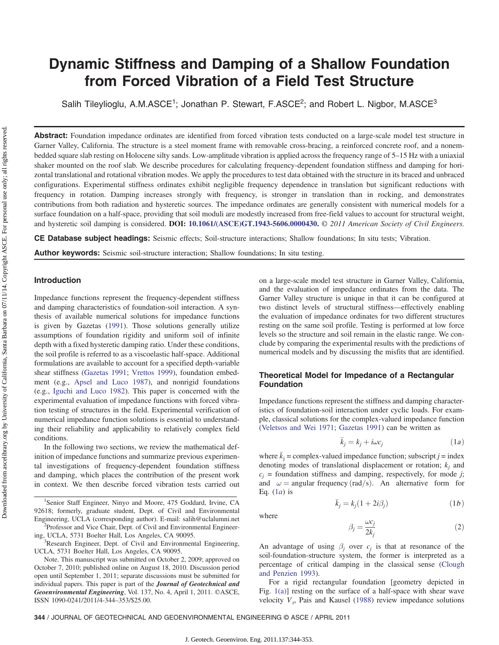# Dynamic Stiffness and Damping of a Shallow Foundation from Forced Vibration of a Field Test Structure

Salih Tileylioglu, A.M.ASCE<sup>1</sup>; Jonathan P. Stewart, F.ASCE<sup>2</sup>; and Robert L. Nigbor, M.ASCE<sup>3</sup>

Abstract: Foundation impedance ordinates are identified from forced vibration tests conducted on a large-scale model test structure in Garner Valley, California. The structure is a steel moment frame with removable cross-bracing, a reinforced concrete roof, and a nonembedded square slab resting on Holocene silty sands. Low-amplitude vibration is applied across the frequency range of 5–15 Hz with a uniaxial shaker mounted on the roof slab. We describe procedures for calculating frequency-dependent foundation stiffness and damping for horizontal translational and rotational vibration modes. We apply the procedures to test data obtained with the structure in its braced and unbraced configurations. Experimental stiffness ordinates exhibit negligible frequency dependence in translation but significant reductions with frequency in rotation. Damping increases strongly with frequency, is stronger in translation than in rocking, and demonstrates contributions from both radiation and hysteretic sources. The impedance ordinates are generally consistent with numerical models for a surface foundation on a half-space, providing that soil moduli are modestly increased from free-field values to account for structural weight, and hysteretic soil damping is considered. DOI: [10.1061/\(ASCE\)GT.1943-5606.0000430](http://dx.doi.org/10.1061/(ASCE)GT.1943-5606.0000430). © 2011 American Society of Civil Engineers.

CE Database subject headings: Seismic effects; Soil-structure interactions; Shallow foundations; In situ tests; Vibration.

**Author keywords:** Seismic soil-structure interaction; Shallow foundations; In situ testing.

# Introduction

Impedance functions represent the frequency-dependent stiffness and damping characteristics of foundation-soil interaction. A synthesis of available numerical solutions for impedance functions is given by Gazetas ([1991\)](#page-9-0). Those solutions generally utilize assumptions of foundation rigidity and uniform soil of infinite depth with a fixed hysteretic damping ratio. Under these conditions, the soil profile is referred to as a viscoelastic half-space. Additional formulations are available to account for a specified depth-variable shear stiffness [\(Gazetas 1991;](#page-9-0) [Vrettos 1999](#page-9-1)), foundation embedment (e.g., [Apsel and Luco 1987\)](#page-8-0), and nonrigid foundations (e.g., [Iguchi and Luco 1982](#page-9-2)). This paper is concerned with the experimental evaluation of impedance functions with forced vibration testing of structures in the field. Experimental verification of numerical impedance function solutions is essential to understanding their reliability and applicability to relatively complex field conditions.

In the following two sections, we review the mathematical definition of impedance functions and summarize previous experimental investigations of frequency-dependent foundation stiffness and damping, which places the contribution of the present work in context. We then describe forced vibration tests carried out

<sup>1</sup>Senior Staff Engineer, Ninyo and Moore, 475 Goddard, Irvine, CA 92618; formerly, graduate student, Dept. of Civil and Environmental Engineering, UCLA (corresponding author). E-mail: salih@uclalumni.net <sup>2</sup>

<sup>2</sup>Professor and Vice Chair, Dept. of Civil and Environmental Engineering, UCLA, 5731 Boelter Hall, Los Angeles, CA 90095.

<sup>3</sup>Research Engineer, Dept. of Civil and Environmental Engineering, UCLA, 5731 Boelter Hall, Los Angeles, CA 90095.

Note. This manuscript was submitted on October 2, 2009; approved on October 7, 2010; published online on August 18, 2010. Discussion period open until September 1, 2011; separate discussions must be submitted for individual papers. This paper is part of the **Journal of Geotechnical and** Geoenvironmental Engineering, Vol. 137, No. 4, April 1, 2011. ©ASCE, ISSN 1090-0241/2011/4-344–353/\$25.00.

on a large-scale model test structure in Garner Valley, California, and the evaluation of impedance ordinates from the data. The Garner Valley structure is unique in that it can be configured at two distinct levels of structural stiffness—effectively enabling the evaluation of impedance ordinates for two different structures resting on the same soil profile. Testing is performed at low force levels so the structure and soil remain in the elastic range. We conclude by comparing the experimental results with the predictions of numerical models and by discussing the misfits that are identified.

# Theoretical Model for Impedance of a Rectangular Foundation

Impedance functions represent the stiffness and damping characteristics of foundation-soil interaction under cyclic loads. For example, classical solutions for the complex-valued impedance function [\(Veletsos and Wei 1971](#page-9-3); [Gazetas 1991](#page-9-0)) can be written as

$$
\bar{k}_j = k_j + i\omega c_j \tag{1a}
$$

<span id="page-0-0"></span>where  $\bar{k}_i$  = complex-valued impedance function; subscript  $j$  = index denoting modes of translational displacement or rotation;  $k_i$  and  $c_j$  = foundation stiffness and damping, respectively, for mode j; and  $\omega$  = angular frequency (rad/s). An alternative form for Eq.  $(1a)$  $(1a)$  is

$$
\bar{k}_j = k_j (1 + 2i\beta_j) \tag{1b}
$$

<span id="page-0-1"></span>where

$$
\beta_j = \frac{\omega c_j}{2k_j} \tag{2}
$$

An advantage of using  $\beta_i$  over  $c_i$  is that at resonance of the soil-foundation-structure system, the former is interpreted as a percentage of critical damping in the classical sense [\(Clough](#page-8-1) [and Penzien 1993](#page-8-1)).

For a rigid rectangular foundation [geometry depicted in Fig. [1\(a\)\]](#page-1-0) resting on the surface of a half-space with shear wave velocity  $V_s$ , Pais and Kausel ([1988\)](#page-9-4) review impedance solutions

344 / JOURNAL OF GEOTECHNICAL AND GEOENVIRONMENTAL ENGINEERING © ASCE / APRIL 2011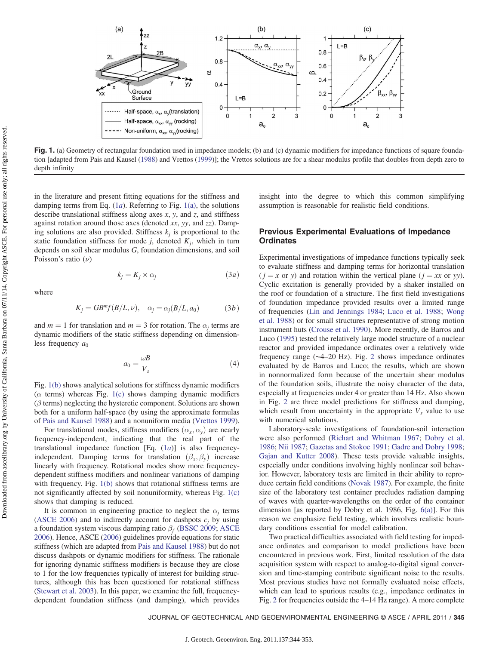<span id="page-1-0"></span>

Fig. 1. (a) Geometry of rectangular foundation used in impedance models; (b) and (c) dynamic modifiers for impedance functions of square foundation [adapted from Pais and Kausel ([1988\)](#page-9-4) and Vrettos [\(1999](#page-9-1))]; the Vrettos solutions are for a shear modulus profile that doubles from depth zero to depth infinity

in the literature and present fitting equations for the stiffness and damping terms from Eq.  $(1a)$  $(1a)$ . Referring to Fig.  $1(a)$ , the solutions describe translational stiffness along axes  $x$ ,  $y$ , and  $z$ , and stiffness against rotation around those axes (denoted xx, yy, and zz). Damping solutions are also provided. Stiffness  $k_j$  is proportional to the static foundation stiffness for mode j, denoted  $K_i$ , which in turn depends on soil shear modulus G, foundation dimensions, and soil Poisson's ratio  $(\nu)$ 

$$
k_j = K_j \times \alpha_j \tag{3a}
$$

<span id="page-1-2"></span><span id="page-1-1"></span>where

$$
K_j = GB^m f(B/L, \nu), \quad \alpha_j = \alpha_j (B/L, a_0)
$$
 (3b)

<span id="page-1-3"></span>and  $m = 1$  for translation and  $m = 3$  for rotation. The  $\alpha_i$  terms are dynamic modifiers of the static stiffness depending on dimensionless frequency  $a_0$ 

$$
a_0 = \frac{\omega B}{V_s} \tag{4}
$$

Fig. [1\(b\)](#page-1-0) shows analytical solutions for stiffness dynamic modifiers ( $\alpha$  terms) whereas Fig. [1\(c\)](#page-1-0) shows damping dynamic modifiers  $(\beta$  terms) neglecting the hysteretic component. Solutions are shown both for a uniform half-space (by using the approximate formulas of [Pais and Kausel 1988\)](#page-9-4) and a nonuniform media [\(Vrettos 1999\)](#page-9-1).

For translational modes, stiffness modifiers  $(\alpha_x, \alpha_y)$  are nearly frequency-independent, indicating that the real part of the tr[a](#page-0-0)nslational impedance function [Eq.  $(1a)$ ] is also frequencyindependent. Damping terms for translation  $(\beta_x, \beta_y)$  increase linearly with frequency. Rotational modes show more frequencydependent stiffness modifiers and nonlinear variations of damping with frequency. Fig. [1\(b\)](#page-1-0) shows that rotational stiffness terms are not significantly affected by soil nonuniformity, whereas Fig. [1\(c\)](#page-1-0) shows that damping is reduced.

It is common in engineering practice to neglect the  $\alpha_i$  terms [\(ASCE 2006\)](#page-8-2) and to indirectly account for dashpots  $c_i$  by using a foundation system viscous damping ratio  $\beta_f$  [\(BSSC 2009;](#page-8-3) [ASCE](#page-8-2) [2006](#page-8-2)). Hence, ASCE ([2006\)](#page-8-2) guidelines provide equations for static stiffness (which are adapted from [Pais and Kausel 1988\)](#page-9-4) but do not discuss dashpots or dynamic modifiers for stiffness. The rationale for ignoring dynamic stiffness modifiers is because they are close to 1 for the low frequencies typically of interest for building structures, although this has been questioned for rotational stiffness [\(Stewart et al. 2003](#page-9-5)). In this paper, we examine the full, frequencydependent foundation stiffness (and damping), which provides insight into the degree to which this common simplifying assumption is reasonable for realistic field conditions.

# Previous Experimental Evaluations of Impedance **Ordinates**

Experimental investigations of impedance functions typically seek to evaluate stiffness and damping terms for horizontal translation  $(j = x \text{ or } y)$  and rotation within the vertical plane  $(j = xx \text{ or } yy)$ . Cyclic excitation is generally provided by a shaker installed on the roof or foundation of a structure. The first field investigations of foundation impedance provided results over a limited range of frequencies [\(Lin and Jennings 1984](#page-9-6); [Luco et al. 1988](#page-9-7); [Wong](#page-9-8) [et al. 1988\)](#page-9-8) or for small structures representative of strong motion instrument huts [\(Crouse et al. 1990\)](#page-8-4). More recently, de Barros and Luco ([1995\)](#page-8-5) tested the relatively large model structure of a nuclear reactor and provided impedance ordinates over a relatively wide frequency range (∼4–20 Hz). Fig. [2](#page-2-0) shows impedance ordinates evaluated by de Barros and Luco; the results, which are shown in nonnormalized form because of the uncertain shear modulus of the foundation soils, illustrate the noisy character of the data, especially at frequencies under 4 or greater than 14 Hz. Also shown in Fig. [2](#page-2-0) are three model predictions for stiffness and damping, which result from uncertainty in the appropriate  $V<sub>s</sub>$  value to use with numerical solutions.

Laboratory-scale investigations of foundation-soil interaction were also performed [\(Richart and Whitman 1967;](#page-9-9) [Dobry et al.](#page-8-6) [1986](#page-8-6); [Nii 1987](#page-9-10); [Gazetas and Stokoe 1991;](#page-9-0) [Gadre and Dobry 1998](#page-8-7); [Gajan and Kutter 2008\)](#page-8-8). These tests provide valuable insights, especially under conditions involving highly nonlinear soil behavior. However, laboratory tests are limited in their ability to reproduce certain field conditions [\(Novak 1987\)](#page-9-11). For example, the finite size of the laboratory test container precludes radiation damping of waves with quarter-wavelengths on the order of the container dimension [as reported by Dobry et al. 1986, Fig. [6\(a\)](#page-5-0)]. For this reason we emphasize field testing, which involves realistic boundary conditions essential for model calibration.

Two practical difficulties associated with field testing for impedance ordinates and comparison to model predictions have been encountered in previous work. First, limited resolution of the data acquisition system with respect to analog-to-digital signal conversion and time-stamping contribute significant noise to the results. Most previous studies have not formally evaluated noise effects, which can lead to spurious results (e.g., impedance ordinates in Fig. [2](#page-2-0) for frequencies outside the 4–14 Hz range). A more complete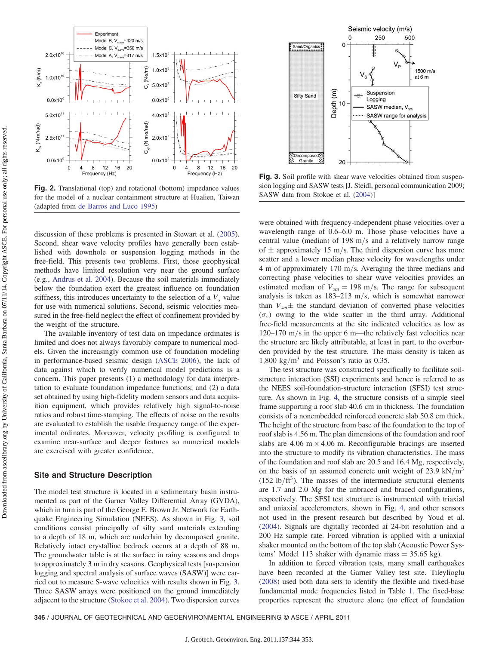<span id="page-2-0"></span>

Fig. 2. Translational (top) and rotational (bottom) impedance values<br>Fig. b. SASW data from Stokoe et al. [\(2004\)](#page-9-13)] for the model of a nuclear containment structure at Hualien, Taiwan (adapted from [de Barros and Luco 1995](#page-8-5))

discussion of these problems is presented in Stewart et al. ([2005\)](#page-9-12). Second, shear wave velocity profiles have generally been established with downhole or suspension logging methods in the free-field. This presents two problems. First, those geophysical methods have limited resolution very near the ground surface (e.g., [Andrus et al. 2004\)](#page-8-9). Because the soil materials immediately below the foundation exert the greatest influence on foundation stiffness, this introduces uncertainty to the selection of a  $V<sub>s</sub>$  value for use with numerical solutions. Second, seismic velocities measured in the free-field neglect the effect of confinement provided by the weight of the structure.

The available inventory of test data on impedance ordinates is limited and does not always favorably compare to numerical models. Given the increasingly common use of foundation modeling in performance-based seismic design ([ASCE 2006](#page-8-2)), the lack of data against which to verify numerical model predictions is a concern. This paper presents (1) a methodology for data interpretation to evaluate foundation impedance functions; and (2) a data set obtained by using high-fidelity modern sensors and data acquisition equipment, which provides relatively high signal-to-noise ratios and robust time-stamping. The effects of noise on the results are evaluated to establish the usable frequency range of the experimental ordinates. Moreover, velocity profiling is configured to examine near-surface and deeper features so numerical models are exercised with greater confidence.

### Site and Structure Description

The model test structure is located in a sedimentary basin instrumented as part of the Garner Valley Differential Array (GVDA), which in turn is part of the George E. Brown Jr. Network for Earthquake Engineering Simulation (NEES). As shown in Fig. [3,](#page-2-1) soil conditions consist principally of silty sand materials extending to a depth of 18 m, which are underlain by decomposed granite. Relatively intact crystalline bedrock occurs at a depth of 88 m. The groundwater table is at the surface in rainy seasons and drops to approximately 3 m in dry seasons. Geophysical tests [suspension logging and spectral analysis of surface waves (SASW)] were carried out to measure S-wave velocities with results shown in Fig. [3.](#page-2-1) Three SASW arrays were positioned on the ground immediately adjacent to the structure ([Stokoe et al. 2004\)](#page-9-13). Two dispersion curves

<span id="page-2-1"></span>

Fig. 3. Soil profile with shear wave velocities obtained from suspension logging and SASW tests [J. Steidl, personal communication 2009;

were obtained with frequency-independent phase velocities over a wavelength range of 0.6–6.0 m. Those phase velocities have a central value (median) of 198 m/s and a relatively narrow range of  $\pm$  approximately 15 m/s. The third dispersion curve has more scatter and a lower median phase velocity for wavelengths under 4 m of approximately 170 m/s. Averaging the three medians and correcting phase velocities to shear wave velocities provides an estimated median of  $V_{\rm sm}=198$  m/s. The range for subsequent analysis is taken as  $183-213$  m/s, which is somewhat narrower than  $V_{sm}$  the standard deviation of converted phase velocities  $(\sigma_v)$  owing to the wide scatter in the third array. Additional free-field measurements at the site indicated velocities as low as  $120-170$  m/s in the upper 6 m—the relatively fast velocities near the structure are likely attributable, at least in part, to the overburden provided by the test structure. The mass density is taken as 1,800 kg/m<sup>3</sup> and Poisson's ratio as 0.35.

The test structure was constructed specifically to facilitate soilstructure interaction (SSI) experiments and hence is referred to as the NEES soil-foundation-structure interaction (SFSI) test structure. As shown in Fig. [4,](#page-3-0) the structure consists of a simple steel frame supporting a roof slab 40.6 cm in thickness. The foundation consists of a nonembedded reinforced concrete slab 50.8 cm thick. The height of the structure from base of the foundation to the top of roof slab is 4.56 m. The plan dimensions of the foundation and roof slabs are  $4.06 \text{ m} \times 4.06 \text{ m}$ . Reconfigurable bracings are inserted into the structure to modify its vibration characteristics. The mass of the foundation and roof slab are 20.5 and 16.4 Mg, respectively, on the basis of an assumed concrete unit weight of 23.9 kN/m<sup>3</sup>  $(152 \text{ lb/ft}^3)$ . The masses of the intermediate structural elements are 1.7 and 2.0 Mg for the unbraced and braced configurations, respectively. The SFSI test structure is instrumented with triaxial and uniaxial accelerometers, shown in Fig. [4](#page-3-0), and other sensors not used in the present research but described by Youd et al. [\(2004](#page-9-14)). Signals are digitally recorded at 24-bit resolution and a 200 Hz sample rate. Forced vibration is applied with a uniaxial shaker mounted on the bottom of the top slab (Acoustic Power Systems' Model 113 shaker with dynamic mass  $=$  35.65 kg).

In addition to forced vibration tests, many small earthquakes have been recorded at the Garner Valley test site. Tileylioglu [\(2008](#page-9-15)) used both data sets to identify the flexible and fixed-base fundamental mode frequencies listed in Table [1](#page-3-1). The fixed-base properties represent the structure alone (no effect of foundation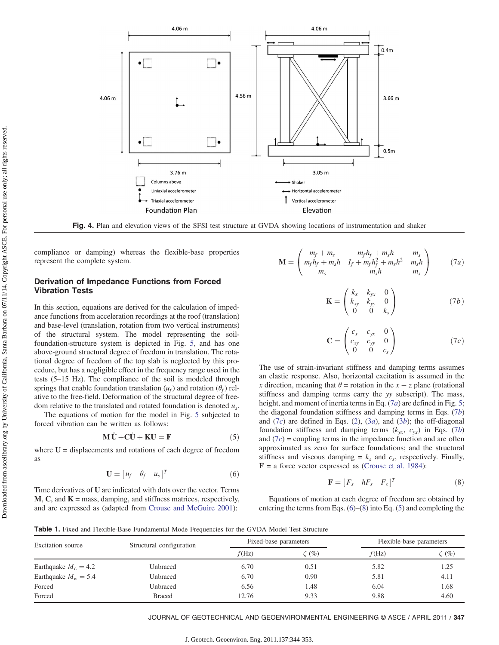<span id="page-3-0"></span>

Fig. 4. Plan and elevation views of the SFSI test structure at GVDA showing locations of instrumentation and shaker

compliance or damping) whereas the flexible-base properties represent the complete system.

# Derivation of Impedance Functions from Forced Vibration Tests

In this section, equations are derived for the calculation of impedance functions from acceleration recordings at the roof (translation) and base-level (translation, rotation from two vertical instruments) of the structural system. The model representing the soilfoundation-structure system is depicted in Fig. [5,](#page-4-0) and has one above-ground structural degree of freedom in translation. The rotational degree of freedom of the top slab is neglected by this procedure, but has a negligible effect in the frequency range used in the tests (5–15 Hz). The compliance of the soil is modeled through springs that enable foundation translation  $(u_f)$  and rotation  $(\theta_f)$  relative to the free-field. Deformation of the structural degree of freedom relative to the translated and rotated foundation is denoted  $u<sub>s</sub>$ .

The equations of motion for the model in Fig. [5](#page-4-0) subjected to forced vibration can be written as follows:

$$
\mathbf{M}\ddot{\mathbf{U}} + \mathbf{C}\dot{\mathbf{U}} + \mathbf{K}\mathbf{U} = \mathbf{F} \tag{5}
$$

<span id="page-3-6"></span>where  $U =$  displacements and rotations of each degree of freedom as

$$
\mathbf{U} = [u_f \quad \theta_f \quad u_s]^T \tag{6}
$$

<span id="page-3-4"></span>Time derivatives of U are indicated with dots over the vector. Terms  $M, C$ , and  $K =$  mass, damping, and stiffness matrices, respectively, and are expressed as (adapted from [Crouse and McGuire 2001](#page-8-10)):

<span id="page-3-3"></span><span id="page-3-2"></span>
$$
\mathbf{M} = \begin{pmatrix} m_f + m_s & m_f h_f + m_s h & m_s \\ m_f h_f + m_s h & I_f + m_f h_f^2 + m_s h^2 & m_s h \\ m_s & m_s h & m_s \end{pmatrix}
$$
 (7a)

$$
\mathbf{K} = \begin{pmatrix} k_x & k_{yx} & 0 \\ k_{xy} & k_{yy} & 0 \\ 0 & 0 & k_s \end{pmatrix}
$$
 (7b)

$$
\mathbf{C} = \begin{pmatrix} c_x & c_{yx} & 0 \\ c_{xy} & c_{yy} & 0 \\ 0 & 0 & c_s \end{pmatrix}
$$
 (7c)

The use of strain-invariant stiffness and damping terms assumes an elastic response. Also, horizontal excitation is assumed in the x direction, meaning that  $\theta$  = rotation in the x – z plane (rotational stiffness and damping terms carry the yy subscript). The mass, height, and moment of inertia terms in Eq.  $(7a)$  $(7a)$  are defined in Fig. [5](#page-4-0); the diagonal foundation stiffness and damping terms in Eqs.  $(7b)$  $(7b)$ and  $(7c)$  $(7c)$  are defined in Eqs.  $(2)$  $(2)$ ,  $(3a)$  $(3a)$ , and  $(3b)$  $(3b)$  $(3b)$ ; the off-diagonal foundation stiffness and damping terms  $(k_{yx}, c_{yx})$  in Eqs. [\(7](#page-3-2)b) and  $(7c)$  $(7c)$  = coupling terms in the impedance function and are often approximated as zero for surface foundations; and the structural stiffness and viscous damping =  $k<sub>s</sub>$  and  $c<sub>s</sub>$ , respectively. Finally,  $$ 

$$
\mathbf{F} = [F_s \quad hF_s \quad F_s]^T \tag{8}
$$

<span id="page-3-5"></span>Equations of motion at each degree of freedom are obtained by entering the terms from Eqs. ([6\)](#page-3-4)–[\(8](#page-3-5)) into Eq. ([5\)](#page-3-6) and completing the

<span id="page-3-1"></span>Table 1. Fixed and Flexible-Base Fundamental Mode Frequencies for the GVDA Model Test Structure

| Excitation source      | Structural configuration | Fixed-base parameters |        | Flexible-base parameters |        |
|------------------------|--------------------------|-----------------------|--------|--------------------------|--------|
|                        |                          | f(Hz)                 | $(\%)$ | f(Hz)                    | $(\%)$ |
| Earthquake $M_L = 4.2$ | Unbraced                 | 6.70                  | 0.51   | 5.82                     | 1.25   |
| Earthquake $M_w = 5.4$ | Unbraced                 | 6.70                  | 0.90   | 5.81                     | 4.11   |
| Forced                 | Unbraced                 | 6.56                  | 1.48   | 6.04                     | 1.68   |
| Forced                 | <b>Braced</b>            | 12.76                 | 9.33   | 9.88                     | 4.60   |

JOURNAL OF GEOTECHNICAL AND GEOENVIRONMENTAL ENGINEERING © ASCE / APRIL 2011 / 347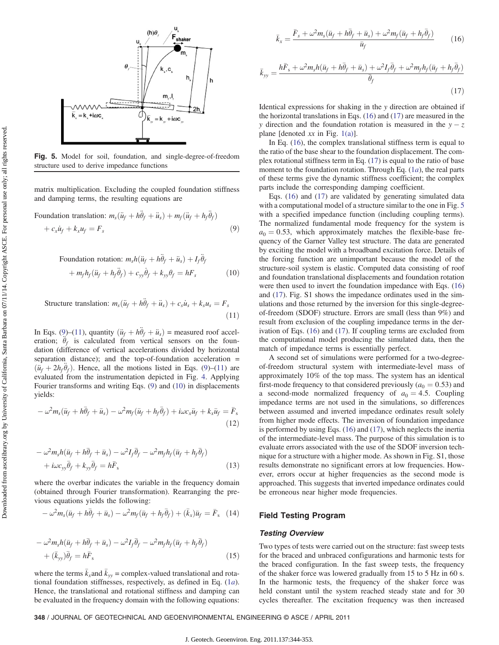<span id="page-4-0"></span>

Fig. 5. Model for soil, foundation, and single-degree-of-freedom structure used to derive impedance functions

<span id="page-4-1"></span>matrix multiplication. Excluding the coupled foundation stiffness and damping terms, the resulting equations are

<span id="page-4-3"></span>Foundation translation:  $m_s(\ddot{u}_f + h\ddot{\theta}_f + \ddot{u}_s) + m_f(\ddot{u}_f + h_f\ddot{\theta}_f)$ 

$$
+ c_x \dot{u}_f + k_x u_f = F_s \tag{9}
$$

<span id="page-4-2"></span>
$$
\text{Foundation rotation: } m_s h(\ddot{u}_f + h\ddot{\theta}_f + \ddot{u}_s) + I_f \ddot{\theta}_f
$$
\n
$$
+ m_f h_f(\ddot{u}_f + h_f \ddot{\theta}_f) + c_{yy} \dot{\theta}_f + k_{yy} \theta_f = hF_s \tag{10}
$$

Structure translation: 
$$
m_s(\ddot{u}_f + h\ddot{\theta}_f + \ddot{u}_s) + c_s\dot{u}_s + k_s u_s = F_s
$$
 (11)

In Eqs. ([9](#page-4-1))–[\(11\)](#page-4-2), quantity  $(\ddot{u}_f + h\ddot{\theta}_f + \ddot{u}_s)$  = measured roof acceleration;  $\ddot{\theta}_f$  is calculated from vertical sensors on the foundation (difference of vertical accelerations divided by horizontal separation distance); and the top-of-foundation acceleration =  $(\ddot{u}_f + 2h_f \dot{\theta}_f)$ . Hence, all the motions listed in Eqs. [\(9\)](#page-4-1)–([11](#page-4-2)) are evaluated from the instrumentation depicted in Fig. [4](#page-3-0). Applying Fourier transforms and writing Eqs. ([9](#page-4-1)) and ([10\)](#page-4-3) in displacements yields:

$$
-\omega^2 m_s(\bar{u}_f + h\bar{\theta}_f + \bar{u}_s) - \omega^2 m_f(\bar{u}_f + h_f\bar{\theta}_f) + i\omega c_x \bar{u}_f + k_x \bar{u}_f = \bar{F}_s
$$
\n(12)

$$
-\omega^2 m_s h(\bar{u}_f + h\bar{\theta}_f + \bar{u}_s) - \omega^2 I_f \bar{\theta}_f - \omega^2 m_f h_f (\bar{u}_f + h_f \bar{\theta}_f) + i\omega c_{yy} \bar{\theta}_f + k_{yy} \bar{\theta}_f = h\bar{F}_s
$$
\n(13)

where the overbar indicates the variable in the frequency domain (obtained through Fourier transformation). Rearranging the previous equations yields the following:

$$
-\omega^2 m_s(\bar{u}_f + h\bar{\theta}_f + \bar{u}_s) - \omega^2 m_f(\bar{u}_f + h_f\bar{\theta}_f) + (\bar{k}_x)\bar{u}_f = \bar{F}_s \quad (14)
$$

$$
-\omega^2 m_s h(\bar{u}_f + h\bar{\theta}_f + \bar{u}_s) - \omega^2 I_f \bar{\theta}_f - \omega^2 m_f h_f(\bar{u}_f + h_f \bar{\theta}_f) + (\bar{k}_{yy}) \bar{\theta}_f = h\bar{F}_s
$$
\n(15)

<span id="page-4-4"></span>where the terms  $k_x$  and  $k_{yy}$  = complex-valued translational and rotational foundation stiffnesses, respectively, as defined in Eq. [\(1](#page-0-0)a). Hence, the translational and rotational stiffness and damping can be evaluated in the frequency domain with the following equations:

<span id="page-4-5"></span>
$$
\bar{k}_x = \frac{\bar{F}_s + \omega^2 m_s (\bar{u}_f + h\bar{\theta}_f + \bar{u}_s) + \omega^2 m_f (\bar{u}_f + h_f \bar{\theta}_f)}{\bar{u}_f} \tag{16}
$$

$$
\bar{k}_{yy} = \frac{h\bar{F}_s + \omega^2 m_s h(\bar{u}_f + h\bar{\theta}_f + \bar{u}_s) + \omega^2 I_f \bar{\theta}_f + \omega^2 m_f h_f(\bar{u}_f + h_f \bar{\theta}_f)}{\bar{\theta}_f}
$$
\n(17)

Identical expressions for shaking in the y direction are obtained if the horizontal translations in Eqs. ([16](#page-4-4)) and [\(17\)](#page-4-5) are measured in the y direction and the foundation rotation is measured in the  $y - z$ plane [denoted  $xx$  in Fig. [1\(a\)\]](#page-1-0).

In Eq. ([16](#page-4-4)), the complex translational stiffness term is equal to the ratio of the base shear to the foundation displacement. The complex rotational stiffness term in Eq. ([17](#page-4-5)) is equal to the ratio of base moment to the found[a](#page-0-0)tion rotation. Through Eq.  $(1a)$ , the real parts of these terms give the dynamic stiffness coefficient; the complex parts include the corresponding damping coefficient.

Eqs. [\(16\)](#page-4-4) and [\(17](#page-4-5)) are validated by generating simulated data with a computational model of a structure similar to the one in Fig. [5](#page-4-0) with a specified impedance function (including coupling terms). The normalized fundamental mode frequency for the system is  $a_0 = 0.53$ , which approximately matches the flexible-base frequency of the Garner Valley test structure. The data are generated by exciting the model with a broadband excitation force. Details of the forcing function are unimportant because the model of the structure-soil system is elastic. Computed data consisting of roof and foundation translational displacements and foundation rotation were then used to invert the foundation impedance with Eqs. [\(16\)](#page-4-4) and ([17](#page-4-5)). Fig. S1 shows the impedance ordinates used in the simulations and those returned by the inversion for this single-degreeof-freedom (SDOF) structure. Errors are small (less than 9%) and result from exclusion of the coupling impedance terms in the derivation of Eqs. ([16](#page-4-4)) and ([17](#page-4-5)). If coupling terms are excluded from the computational model producing the simulated data, then the match of impedance terms is essentially perfect.

A second set of simulations were performed for a two-degreeof-freedom structural system with intermediate-level mass of approximately 10% of the top mass. The system has an identical first-mode frequency to that considered previously ( $a_0 = 0.53$ ) and a second-mode normalized frequency of  $a_0 = 4.5$ . Coupling impedance terms are not used in the simulations, so differences between assumed and inverted impedance ordinates result solely from higher mode effects. The inversion of foundation impedance is performed by using Eqs. ([16](#page-4-4)) and [\(17\)](#page-4-5), which neglects the inertia of the intermediate-level mass. The purpose of this simulation is to evaluate errors associated with the use of the SDOF inversion technique for a structure with a higher mode. As shown in Fig. S1, those results demonstrate no significant errors at low frequencies. However, errors occur at higher frequencies as the second mode is approached. This suggests that inverted impedance ordinates could be erroneous near higher mode frequencies.

## Field Testing Program

## Testing Overview

Two types of tests were carried out on the structure: fast sweep tests for the braced and unbraced configurations and harmonic tests for the braced configuration. In the fast sweep tests, the frequency of the shaker force was lowered gradually from 15 to 5 Hz in 60 s. In the harmonic tests, the frequency of the shaker force was held constant until the system reached steady state and for 30 cycles thereafter. The excitation frequency was then increased

348 / JOURNAL OF GEOTECHNICAL AND GEOENVIRONMENTAL ENGINEERING © ASCE / APRIL 2011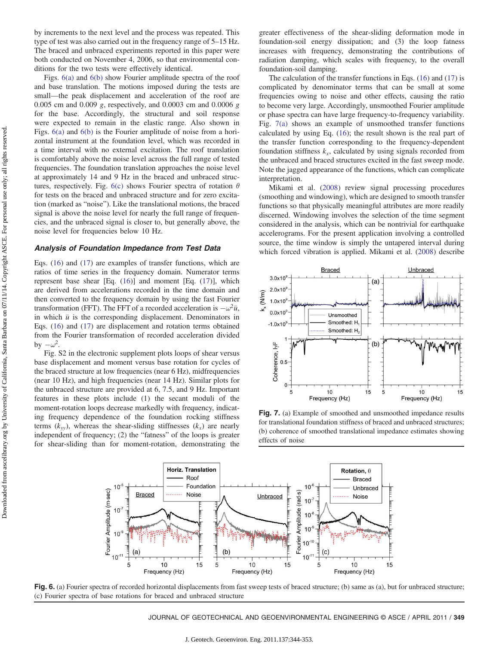by increments to the next level and the process was repeated. This type of test was also carried out in the frequency range of 5–15 Hz. The braced and unbraced experiments reported in this paper were both conducted on November 4, 2006, so that environmental conditions for the two tests were effectively identical.

Figs. [6\(a\)](#page-5-0) and [6\(b\)](#page-5-0) show Fourier amplitude spectra of the roof and base translation. The motions imposed during the tests are small—the peak displacement and acceleration of the roof are 0.005 cm and 0:009 g, respectively, and 0.0003 cm and 0:0006 g for the base. Accordingly, the structural and soil response were expected to remain in the elastic range. Also shown in Figs. [6\(a\)](#page-5-0) and [6\(b\)](#page-5-0) is the Fourier amplitude of noise from a horizontal instrument at the foundation level, which was recorded in a time interval with no external excitation. The roof translation is comfortably above the noise level across the full range of tested frequencies. The foundation translation approaches the noise level at approximately 14 and 9 Hz in the braced and unbraced struc-tures, respectively. Fig. [6\(c\)](#page-5-0) shows Fourier spectra of rotation  $\theta$ for tests on the braced and unbraced structure and for zero excitation (marked as "noise"). Like the translational motions, the braced signal is above the noise level for nearly the full range of frequencies, and the unbraced signal is closer to, but generally above, the noise level for frequencies below 10 Hz.

#### Analysis of Foundation Impedance from Test Data

Eqs. [\(16\)](#page-4-4) and ([17](#page-4-5)) are examples of transfer functions, which are ratios of time series in the frequency domain. Numerator terms represent base shear [Eq. ([16](#page-4-4))] and moment [Eq. [\(17\)](#page-4-5)], which are derived from accelerations recorded in the time domain and then converted to the frequency domain by using the fast Fourier transformation (FFT). The FFT of a recorded acceleration is  $-\omega^2 \bar{u}$ , in which  $\bar{u}$  is the corresponding displacement. Denominators in Eqs. [\(16\)](#page-4-4) and [\(17\)](#page-4-5) are displacement and rotation terms obtained from the Fourier transformation of recorded acceleration divided by  $-\omega^2$ .

Fig. S2 in the electronic supplement plots loops of shear versus base displacement and moment versus base rotation for cycles of the braced structure at low frequencies (near 6 Hz), midfrequencies (near 10 Hz), and high frequencies (near 14 Hz). Similar plots for the unbraced structure are provided at 6, 7.5, and 9 Hz. Important features in these plots include (1) the secant moduli of the moment-rotation loops decrease markedly with frequency, indicating frequency dependence of the foundation rocking stiffness terms  $(k_y)$ , whereas the shear-sliding stiffnesses  $(k_x)$  are nearly independent of frequency; (2) the "fatness" of the loops is greater for shear-sliding than for moment-rotation, demonstrating the greater effectiveness of the shear-sliding deformation mode in foundation-soil energy dissipation; and (3) the loop fatness increases with frequency, demonstrating the contributions of radiation damping, which scales with frequency, to the overall foundation-soil damping.

The calculation of the transfer functions in Eqs. ([16](#page-4-4)) and ([17](#page-4-5)) is complicated by denominator terms that can be small at some frequencies owing to noise and other effects, causing the ratio to become very large. Accordingly, unsmoothed Fourier amplitude or phase spectra can have large frequency-to-frequency variability. Fig. [7\(a\)](#page-5-1) shows an example of unsmoothed transfer functions calculated by using Eq. [\(16\)](#page-4-4); the result shown is the real part of the transfer function corresponding to the frequency-dependent foundation stiffness  $k_x$ , calculated by using signals recorded from the unbraced and braced structures excited in the fast sweep mode. Note the jagged appearance of the functions, which can complicate interpretation.

Mikami et al. ([2008\)](#page-9-16) review signal processing procedures (smoothing and windowing), which are designed to smooth transfer functions so that physically meaningful attributes are more readily discerned. Windowing involves the selection of the time segment considered in the analysis, which can be nontrivial for earthquake accelerograms. For the present application involving a controlled source, the time window is simply the untapered interval during which forced vibration is applied. Mikami et al. [\(2008](#page-9-16)) describe

<span id="page-5-1"></span>

Fig. 7. (a) Example of smoothed and unsmoothed impedance results for translational foundation stiffness of braced and unbraced structures; (b) coherence of smoothed translational impedance estimates showing effects of noise

<span id="page-5-0"></span>

Fig. 6. (a) Fourier spectra of recorded horizontal displacements from fast sweep tests of braced structure; (b) same as (a), but for unbraced structure; (c) Fourier spectra of base rotations for braced and unbraced structure

JOURNAL OF GEOTECHNICAL AND GEOENVIRONMENTAL ENGINEERING © ASCE / APRIL 2011 / 349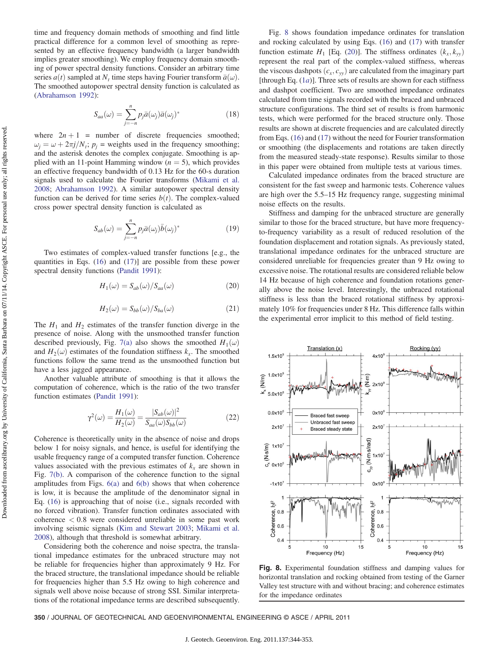time and frequency domain methods of smoothing and find little practical difference for a common level of smoothing as represented by an effective frequency bandwidth (a larger bandwidth implies greater smoothing). We employ frequency domain smoothing of power spectral density functions. Consider an arbitrary time series  $a(t)$  sampled at  $N_t$  time steps having Fourier transform  $\bar{a}(\omega)$ . The smoothed autopower spectral density function is calculated as [\(Abrahamson 1992\)](#page-8-12):

$$
S_{aa}(\omega) = \sum_{j=-n}^{n} p_j \bar{a}(\omega_j) \bar{a}(\omega_j)^*
$$
 (18)

where  $2n + 1$  = number of discrete frequencies smoothed;  $\omega_i = \omega + 2\pi j/N_i$ ;  $p_i$  = weights used in the frequency smoothing; and the asterisk denotes the complex conjugate. Smoothing is applied with an 11-point Hamming window  $(n = 5)$ , which provides an effective frequency bandwidth of 0.13 Hz for the 60-s duration signals used to calculate the Fourier transforms [\(Mikami et al.](#page-9-16) [2008](#page-9-16); [Abrahamson 1992](#page-8-12)). A similar autopower spectral density function can be derived for time series  $b(t)$ . The complex-valued cross power spectral density function is calculated as

$$
S_{ab}(\omega) = \sum_{j=-n}^{n} p_j \bar{a}(\omega_j) \bar{b}(\omega_j)^*
$$
 (19)

<span id="page-6-1"></span>Two estimates of complex-valued transfer functions [e.g., the quantities in Eqs. ([16](#page-4-4)) and ([17\)](#page-4-5)] are possible from these power spectral density functions ([Pandit 1991\)](#page-9-17):

$$
H_1(\omega) = S_{ab}(\omega) / S_{aa}(\omega)
$$
\n(20)

$$
H_2(\omega) = S_{bb}(\omega) / S_{ba}(\omega)
$$
 (21)

The  $H_1$  and  $H_2$  estimates of the transfer function diverge in the presence of noise. Along with the unsmoothed transfer function described previously, Fig. [7\(a\)](#page-5-1) also shows the smoothed  $H_1(\omega)$ and  $H_2(\omega)$  estimates of the foundation stiffness  $k_x$ . The smoothed functions follow the same trend as the unsmoothed function but have a less jagged appearance.

Another valuable attribute of smoothing is that it allows the computation of coherence, which is the ratio of the two transfer function estimates [\(Pandit 1991](#page-9-17)):

$$
\gamma^2(\omega) = \frac{H_1(\omega)}{H_2(\omega)} = \frac{|S_{ab}(\omega)|^2}{S_{aa}(\omega)S_{bb}(\omega)}\tag{22}
$$

Coherence is theoretically unity in the absence of noise and drops below 1 for noisy signals, and hence, is useful for identifying the usable frequency range of a computed transfer function. Coherence values associated with the previous estimates of  $k<sub>x</sub>$  are shown in Fig. [7\(b\)](#page-5-1). A comparison of the coherence function to the signal amplitudes from Figs. [6\(a\)](#page-5-0) and [6\(b\)](#page-5-0) shows that when coherence is low, it is because the amplitude of the denominator signal in Eq. ([16](#page-4-4)) is approaching that of noise (i.e., signals recorded with no forced vibration). Transfer function ordinates associated with  $coherence < 0.8$  were considered unreliable in some past work involving seismic signals [\(Kim and Stewart 2003;](#page-9-18) [Mikami et al.](#page-9-16) [2008](#page-9-16)), although that threshold is somewhat arbitrary.

Considering both the coherence and noise spectra, the translational impedance estimates for the unbraced structure may not be reliable for frequencies higher than approximately 9 Hz. For the braced structure, the translational impedance should be reliable for frequencies higher than 5.5 Hz owing to high coherence and signals well above noise because of strong SSI. Similar interpretations of the rotational impedance terms are described subsequently.

Fig. [8](#page-6-0) shows foundation impedance ordinates for translation and rocking calculated by using Eqs. ([16](#page-4-4)) and [\(17\)](#page-4-5) with transfer function estimate  $H_1$  [Eq. [\(20\)](#page-6-1)]. The stiffness ordinates  $(k_x, k_y)$ represent the real part of the complex-valued stiffness, whereas the viscous dashpots  $(c_x, c_y)$  are calculated from the imaginary part [through Eq.  $(1a)$  $(1a)$ ]. Three sets of results are shown for each stiffness and dashpot coefficient. Two are smoothed impedance ordinates calculated from time signals recorded with the braced and unbraced structure configurations. The third set of results is from harmonic tests, which were performed for the braced structure only. Those results are shown at discrete frequencies and are calculated directly from Eqs. ([16](#page-4-4)) and [\(17\)](#page-4-5) without the need for Fourier transformation or smoothing (the displacements and rotations are taken directly from the measured steady-state response). Results similar to those in this paper were obtained from multiple tests at various times.

Calculated impedance ordinates from the braced structure are consistent for the fast sweep and harmonic tests. Coherence values are high over the 5.5–15 Hz frequency range, suggesting minimal noise effects on the results.

Stiffness and damping for the unbraced structure are generally similar to those for the braced structure, but have more frequencyto-frequency variability as a result of reduced resolution of the foundation displacement and rotation signals. As previously stated, translational impedance ordinates for the unbraced structure are considered unreliable for frequencies greater than 9 Hz owing to excessive noise. The rotational results are considered reliable below 14 Hz because of high coherence and foundation rotations generally above the noise level. Interestingly, the unbraced rotational stiffness is less than the braced rotational stiffness by approximately 10% for frequencies under 8 Hz. This difference falls within the experimental error implicit to this method of field testing.

<span id="page-6-0"></span>

Fig. 8. Experimental foundation stiffness and damping values for horizontal translation and rocking obtained from testing of the Garner Valley test structure with and without bracing; and coherence estimates for the impedance ordinates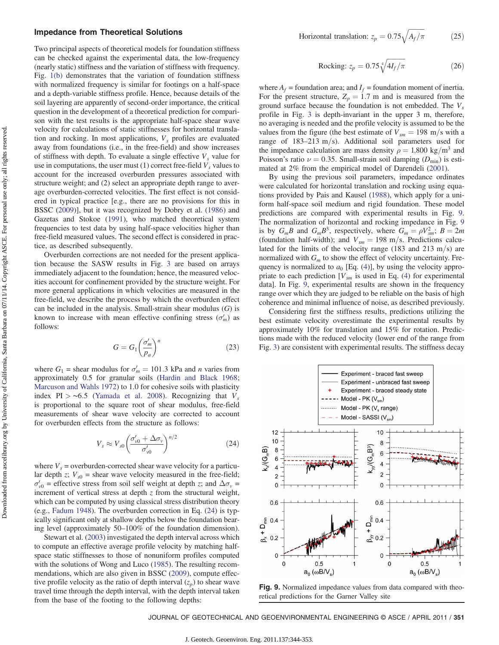#### Impedance from Theoretical Solutions

Two principal aspects of theoretical models for foundation stiffness can be checked against the experimental data, the low-frequency (nearly static) stiffness and the variation of stiffness with frequency. Fig. [1\(b\)](#page-1-0) demonstrates that the variation of foundation stiffness with normalized frequency is similar for footings on a half-space and a depth-variable stiffness profile. Hence, because details of the soil layering are apparently of second-order importance, the critical question in the development of a theoretical prediction for comparison with the test results is the appropriate half-space shear wave velocity for calculations of static stiffnesses for horizontal translation and rocking. In most applications,  $V<sub>s</sub>$  profiles are evaluated away from foundations (i.e., in the free-field) and show increases of stiffness with depth. To evaluate a single effective  $V<sub>s</sub>$  value for use in computations, the user must  $(1)$  correct free-field  $V<sub>s</sub>$  values to account for the increased overburden pressures associated with structure weight; and (2) select an appropriate depth range to average overburden-corrected velocities. The first effect is not considered in typical practice [e.g., there are no provisions for this in BSSC ([2009\)](#page-8-3)], but it was recognized by Dobry et al. ([1986\)](#page-8-6) and Gazetas and Stokoe [\(1991](#page-9-19)), who matched theoretical system frequencies to test data by using half-space velocities higher than free-field measured values. The second effect is considered in practice, as described subsequently.

Overburden corrections are not needed for the present application because the SASW results in Fig. [3](#page-2-1) are based on arrays immediately adjacent to the foundation; hence, the measured velocities account for confinement provided by the structure weight. For more general applications in which velocities are measured in the free-field, we describe the process by which the overburden effect can be included in the analysis. Small-strain shear modulus  $(G)$  is known to increase with mean effective confining stress  $(\sigma'_m)$  as follows:

$$
G = G_1 \left(\frac{\sigma_m'}{p_a}\right)^n \tag{23}
$$

where  $G_1$  = shear modulus for  $\sigma'_m = 101.3$  kPa and *n* varies from approximately 0.5 for granular soils ([Hardin and Black 1968](#page-9-20); [Marcuson and Wahls 1972](#page-9-21)) to 1.0 for cohesive soils with plasticity index PI > ∼6.5 ([Yamada et al. 2008\)](#page-9-22). Recognizing that  $V_s$ is proportional to the square root of shear modulus, free-field measurements of shear wave velocity are corrected to account for overburden effects from the structure as follows:

$$
V_s \approx V_{s0} \left(\frac{\sigma'_{v0} + \Delta \sigma_v}{\sigma'_{v0}}\right)^{n/2} \tag{24}
$$

<span id="page-7-0"></span>where  $V_s$  = overburden-corrected shear wave velocity for a particular depth z;  $V_{s0}$  = shear wave velocity measured in the free-field;  $\sigma'_{v0}$  = effective stress from soil self weight at depth z; and  $\Delta \sigma_v$  = increment of vertical stress at depth  $z$  from the structural weight, which can be computed by using classical stress distribution theory (e.g., [Fadum 1948](#page-8-13)). The overburden correction in Eq. [\(24\)](#page-7-0) is typically significant only at shallow depths below the foundation bearing level (approximately 50–100% of the foundation dimension).

Stewart et al. [\(2003](#page-9-5)) investigated the depth interval across which to compute an effective average profile velocity by matching halfspace static stiffnesses to those of nonuniform profiles computed with the solutions of Wong and Luco [\(1985](#page-9-23)). The resulting recommendations, which are also given in BSSC [\(2009](#page-8-3)), compute effective profile velocity as the ratio of depth interval  $(z_p)$  to shear wave travel time through the depth interval, with the depth interval taken from the base of the footing to the following depths:

Horizontal translation: 
$$
z_p = 0.75 \sqrt{A_f/\pi}
$$
 (25)

$$
Rocking: z_p = 0.75 \sqrt[4]{4I_f/\pi}
$$
 (26)

where  $A_f$  = foundation area; and  $I_f$  = foundation moment of inertia. For the present structure,  $Z_p = 1.7$  m and is measured from the ground surface because the foundation is not embedded. The  $V_s$ profile in Fig. [3](#page-2-1) is depth-invariant in the upper 3 m, therefore, no averaging is needed and the profile velocity is assumed to be the values from the figure (the best estimate of  $V_{\text{sm}} = 198 \text{ m/s}$  with a range of  $183-213$  m/s). Additional soil parameters used for the impedance calculation are mass density  $\rho = 1,800 \text{ kg/m}^3$  and Poisson's ratio  $\nu = 0.35$ . Small-strain soil damping  $(D_{\min})$  is estimated at 2% from the empirical model of Darendeli ([2001\)](#page-8-14).

By using the previous soil parameters, impedance ordinates were calculated for horizontal translation and rocking using equations provided by Pais and Kausel [\(1988](#page-9-4)), which apply for a uniform half-space soil medium and rigid foundation. These model predictions are compared with experimental results in Fig. [9.](#page-7-1) The normalization of horizontal and rocking impedance in Fig. [9](#page-7-1) is by  $G_m B$  and  $G_m B^3$ , respectively, where  $G_m = \rho V_{sm}^2$ ;  $B = 2m$ (foundation half-width); and  $V_{\text{sm}} = 198$  m/s. Predictions calculated for the limits of the velocity range (183 and 213 m/s) are normalized with  $G_m$  to show the effect of velocity uncertainty. Frequency is normalized to  $a_0$  [Eq. [\(4\)](#page-1-3)], by using the velocity appropriate to each prediction  $[V_{sm}$  is used in Eq. ([4\)](#page-1-3) for experimental data]. In Fig. [9](#page-7-1), experimental results are shown in the frequency range over which they are judged to be reliable on the basis of high coherence and minimal influence of noise, as described previously.

Considering first the stiffness results, predictions utilizing the best estimate velocity overestimate the experimental results by approximately 10% for translation and 15% for rotation. Predictions made with the reduced velocity (lower end of the range from Fig. [3\)](#page-2-1) are consistent with experimental results. The stiffness decay

<span id="page-7-1"></span>

Fig. 9. Normalized impedance values from data compared with theoretical predictions for the Garner Valley site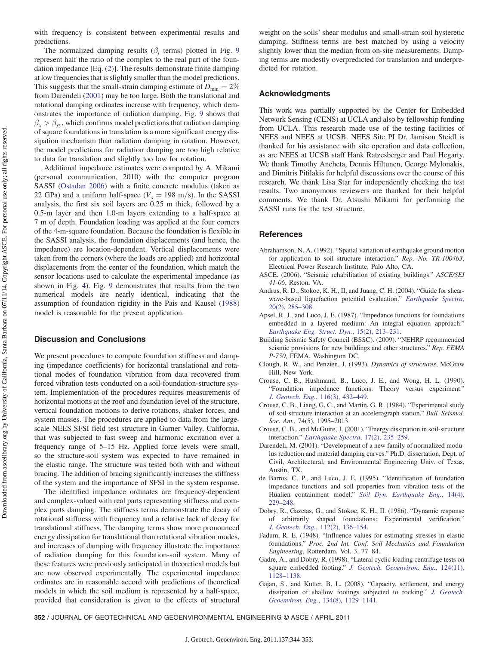with frequency is consistent between experimental results and predictions.

The normalized damping results ( $\beta_i$  terms) plotted in Fig. [9](#page-7-1) represent half the ratio of the complex to the real part of the foundation impedance [Eq. ([2\)](#page-0-1)]. The results demonstrate finite damping at low frequencies that is slightly smaller than the model predictions. This suggests that the small-strain damping estimate of  $D_{\text{min}} = 2\%$ from Darendeli [\(2001](#page-8-14)) may be too large. Both the translational and rotational damping ordinates increase with frequency, which demonstrates the importance of radiation damping. Fig. [9](#page-7-1) shows that  $\beta_x > \beta_{yy}$ , which confirms model predictions that radiation damping of square foundations in translation is a more significant energy dissipation mechanism than radiation damping in rotation. However, the model predictions for radiation damping are too high relative to data for translation and slightly too low for rotation.

Additional impedance estimates were computed by A. Mikami (personal communication, 2010) with the computer program SASSI ([Ostadan 2006](#page-9-24)) with a finite concrete modulus (taken as 22 GPa) and a uniform half-space ( $V_s = 198$  m/s). In the SASSI analysis, the first six soil layers are 0.25 m thick, followed by a 0.5-m layer and then 1.0-m layers extending to a half-space at 7 m of depth. Foundation loading was applied at the four corners of the 4-m-square foundation. Because the foundation is flexible in the SASSI analysis, the foundation displacements (and hence, the impedance) are location-dependent. Vertical displacements were taken from the corners (where the loads are applied) and horizontal displacements from the center of the foundation, which match the sensor locations used to calculate the experimental impedance (as shown in Fig. [4](#page-3-0)). Fig. [9](#page-7-1) demonstrates that results from the two numerical models are nearly identical, indicating that the assumption of foundation rigidity in the Pais and Kausel ([1988\)](#page-9-4) model is reasonable for the present application.

## Discussion and Conclusions

We present procedures to compute foundation stiffness and damping (impedance coefficients) for horizontal translational and rotational modes of foundation vibration from data recovered from forced vibration tests conducted on a soil-foundation-structure system. Implementation of the procedures requires measurements of horizontal motions at the roof and foundation level of the structure, vertical foundation motions to derive rotations, shaker forces, and system masses. The procedures are applied to data from the largescale NEES SFSI field test structure in Garner Valley, California, that was subjected to fast sweep and harmonic excitation over a frequency range of 5–15 Hz. Applied force levels were small, so the structure-soil system was expected to have remained in the elastic range. The structure was tested both with and without bracing. The addition of bracing significantly increases the stiffness of the system and the importance of SFSI in the system response.

The identified impedance ordinates are frequency-dependent and complex-valued with real parts representing stiffness and complex parts damping. The stiffness terms demonstrate the decay of rotational stiffness with frequency and a relative lack of decay for translational stiffness. The damping terms show more pronounced energy dissipation for translational than rotational vibration modes, and increases of damping with frequency illustrate the importance of radiation damping for this foundation-soil system. Many of these features were previously anticipated in theoretical models but are now observed experimentally. The experimental impedance ordinates are in reasonable accord with predictions of theoretical models in which the soil medium is represented by a half-space, provided that consideration is given to the effects of structural

weight on the soils' shear modulus and small-strain soil hysteretic damping. Stiffness terms are best matched by using a velocity slightly lower than the median from on-site measurements. Damping terms are modestly overpredicted for translation and underpredicted for rotation.

#### Acknowledgments

This work was partially supported by the Center for Embedded Network Sensing (CENS) at UCLA and also by fellowship funding from UCLA. This research made use of the testing facilities of NEES and NEES at UCSB. NEES Site PI Dr. Jamison Steidl is thanked for his assistance with site operation and data collection, as are NEES at UCSB staff Hank Ratzesberger and Paul Hegarty. We thank Timothy Ancheta, Dennis Hiltunen, George Mylonakis, and Dimitris Pitilakis for helpful discussions over the course of this research. We thank Lisa Star for independently checking the test results. Two anonymous reviewers are thanked for their helpful comments. We thank Dr. Atsushi Mikami for performing the SASSI runs for the test structure.

#### **References**

- <span id="page-8-12"></span>Abrahamson, N. A. (1992). "Spatial variation of earthquake ground motion for application to soil–structure interaction." Rep. No. TR-100463, Electrical Power Research Institute, Palo Alto, CA.
- <span id="page-8-2"></span>ASCE. (2006). "Seismic rehabilitation of existing buildings." ASCE/SEI 41-06, Reston, VA.
- <span id="page-8-9"></span>Andrus, R. D., Stokoe, K. H., II, and Juang, C. H. (2004). "Guide for shearwave-based liquefaction potential evaluation." [Earthquake Spectra](http://dx.doi.org/10.1193/1.1715106), [20\(2\), 285](http://dx.doi.org/10.1193/1.1715106)–308.
- <span id="page-8-0"></span>Apsel, R. J., and Luco, J. E. (1987). "Impedance functions for foundations embedded in a layered medium: An integral equation approach." [Earthquake Eng. Struct. Dyn.](http://dx.doi.org/10.1002/eqe.4290150205), 15(2), 213–231.
- <span id="page-8-3"></span>Building Seismic Safety Council (BSSC). (2009). "NEHRP recommended seismic provisions for new buildings and other structures." Rep. FEMA P-750, FEMA, Washington DC.
- <span id="page-8-1"></span>Clough, R. W., and Penzien, J. (1993). Dynamics of structures, McGraw Hill, New York.
- <span id="page-8-4"></span>Crouse, C. B., Hushmand, B., Luco, J. E., and Wong, H. L. (1990). "Foundation impedance functions: Theory versus experiment." [J. Geotech. Eng.](http://dx.doi.org/10.1061/(ASCE)0733-9410(1990)116:3(432)), 116(3), 432–449.
- <span id="page-8-11"></span>Crouse, C. B., Liang, G. C., and Martin, G. R. (1984). "Experimental study of soil-structure interaction at an accelerograph station." Bull. Seismol. Soc. Am., 74(5), 1995-2013.
- <span id="page-8-10"></span>Crouse, C. B., and McGuire, J. (2001). "Energy dissipation in soil-structure interaction." [Earthquake Spectra](http://dx.doi.org/10.1193/1.1586174), 17(2), 235–259.
- <span id="page-8-14"></span>Darendeli, M. (2001). "Development of a new family of normalized modulus reduction and material damping curves." Ph.D. dissertation, Dept. of Civil, Architectural, and Environmental Engineering Univ. of Texas, Austin, TX.
- <span id="page-8-5"></span>de Barros, C. P., and Luco, J. E. (1995). "Identification of foundation impedance functions and soil properties from vibration tests of the Hualien containment model." [Soil Dyn. Earthquake Eng.](http://dx.doi.org/10.1016/0267-7261(94)00046-J), 14(4), 229–[248.](http://dx.doi.org/10.1016/0267-7261(94)00046-J)
- <span id="page-8-6"></span>Dobry, R., Gazetas, G., and Stokoe, K. H., II. (1986). "Dynamic response of arbitrarily shaped foundations: Experimental verification." [J. Geotech. Eng.](http://dx.doi.org/10.1061/(ASCE)0733-9410(1986)112:2(136)), 112(2), 136–154.
- <span id="page-8-13"></span>Fadum, R. E. (1948). "Influence values for estimating stresses in elastic foundations." Proc. 2nd Int. Conf. Soil Mechanics and Foundation Engineering, Rotterdam, Vol. 3, 77–84.
- <span id="page-8-7"></span>Gadre, A., and Dobry, R. (1998). "Lateral cyclic loading centrifuge tests on square embedded footing." [J. Geotech. Geoenviron. Eng.](http://dx.doi.org/10.1061/(ASCE)1090-0241(1998)124:11(1128)), 124(11), [1128](http://dx.doi.org/10.1061/(ASCE)1090-0241(1998)124:11(1128))–1138.
- <span id="page-8-8"></span>Gajan, S., and Kutter, B. L. (2008). "Capacity, settlement, and energy dissipation of shallow footings subjected to rocking." [J. Geotech.](http://dx.doi.org/10.1061/(ASCE)1090-0241(2008)134:8(1129)) [Geoenviron. Eng.](http://dx.doi.org/10.1061/(ASCE)1090-0241(2008)134:8(1129)), 134(8), 1129–1141.